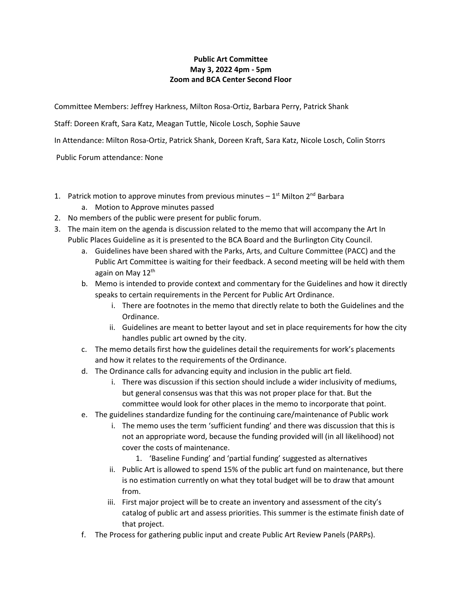## **Public Art Committee May 3, 2022 4pm - 5pm Zoom and BCA Center Second Floor**

Committee Members: Jeffrey Harkness, Milton Rosa-Ortiz, Barbara Perry, Patrick Shank

Staff: Doreen Kraft, Sara Katz, Meagan Tuttle, Nicole Losch, Sophie Sauve

In Attendance: Milton Rosa-Ortiz, Patrick Shank, Doreen Kraft, Sara Katz, Nicole Losch, Colin Storrs

Public Forum attendance: None

- 1. Patrick motion to approve minutes from previous minutes  $-1<sup>st</sup>$  Milton 2<sup>nd</sup> Barbara
	- a. Motion to Approve minutes passed
- 2. No members of the public were present for public forum.
- 3. The main item on the agenda is discussion related to the memo that will accompany the Art In Public Places Guideline as it is presented to the BCA Board and the Burlington City Council.
	- a. Guidelines have been shared with the Parks, Arts, and Culture Committee (PACC) and the Public Art Committee is waiting for their feedback. A second meeting will be held with them again on May 12<sup>th</sup>
	- b. Memo is intended to provide context and commentary for the Guidelines and how it directly speaks to certain requirements in the Percent for Public Art Ordinance.
		- i. There are footnotes in the memo that directly relate to both the Guidelines and the Ordinance.
		- ii. Guidelines are meant to better layout and set in place requirements for how the city handles public art owned by the city.
	- c. The memo details first how the guidelines detail the requirements for work's placements and how it relates to the requirements of the Ordinance.
	- d. The Ordinance calls for advancing equity and inclusion in the public art field.
		- i. There was discussion if this section should include a wider inclusivity of mediums, but general consensus was that this was not proper place for that. But the committee would look for other places in the memo to incorporate that point.
	- e. The guidelines standardize funding for the continuing care/maintenance of Public work
		- i. The memo uses the term 'sufficient funding' and there was discussion that this is not an appropriate word, because the funding provided will (in all likelihood) not cover the costs of maintenance.
			- 1. 'Baseline Funding' and 'partial funding' suggested as alternatives
		- ii. Public Art is allowed to spend 15% of the public art fund on maintenance, but there is no estimation currently on what they total budget will be to draw that amount from.
		- iii. First major project will be to create an inventory and assessment of the city's catalog of public art and assess priorities. This summer is the estimate finish date of that project.
	- f. The Process for gathering public input and create Public Art Review Panels (PARPs).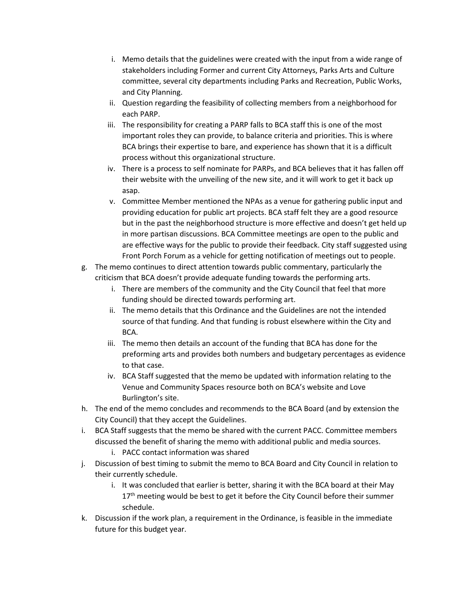- i. Memo details that the guidelines were created with the input from a wide range of stakeholders including Former and current City Attorneys, Parks Arts and Culture committee, several city departments including Parks and Recreation, Public Works, and City Planning.
- ii. Question regarding the feasibility of collecting members from a neighborhood for each PARP.
- iii. The responsibility for creating a PARP falls to BCA staff this is one of the most important roles they can provide, to balance criteria and priorities. This is where BCA brings their expertise to bare, and experience has shown that it is a difficult process without this organizational structure.
- iv. There is a process to self nominate for PARPs, and BCA believes that it has fallen off their website with the unveiling of the new site, and it will work to get it back up asap.
- v. Committee Member mentioned the NPAs as a venue for gathering public input and providing education for public art projects. BCA staff felt they are a good resource but in the past the neighborhood structure is more effective and doesn't get held up in more partisan discussions. BCA Committee meetings are open to the public and are effective ways for the public to provide their feedback. City staff suggested using Front Porch Forum as a vehicle for getting notification of meetings out to people.
- g. The memo continues to direct attention towards public commentary, particularly the criticism that BCA doesn't provide adequate funding towards the performing arts.
	- i. There are members of the community and the City Council that feel that more funding should be directed towards performing art.
	- ii. The memo details that this Ordinance and the Guidelines are not the intended source of that funding. And that funding is robust elsewhere within the City and BCA.
	- iii. The memo then details an account of the funding that BCA has done for the preforming arts and provides both numbers and budgetary percentages as evidence to that case.
	- iv. BCA Staff suggested that the memo be updated with information relating to the Venue and Community Spaces resource both on BCA's website and Love Burlington's site.
- h. The end of the memo concludes and recommends to the BCA Board (and by extension the City Council) that they accept the Guidelines.
- i. BCA Staff suggests that the memo be shared with the current PACC. Committee members discussed the benefit of sharing the memo with additional public and media sources.
	- i. PACC contact information was shared
- j. Discussion of best timing to submit the memo to BCA Board and City Council in relation to their currently schedule.
	- i. It was concluded that earlier is better, sharing it with the BCA board at their May 17<sup>th</sup> meeting would be best to get it before the City Council before their summer schedule.
- k. Discussion if the work plan, a requirement in the Ordinance, is feasible in the immediate future for this budget year.